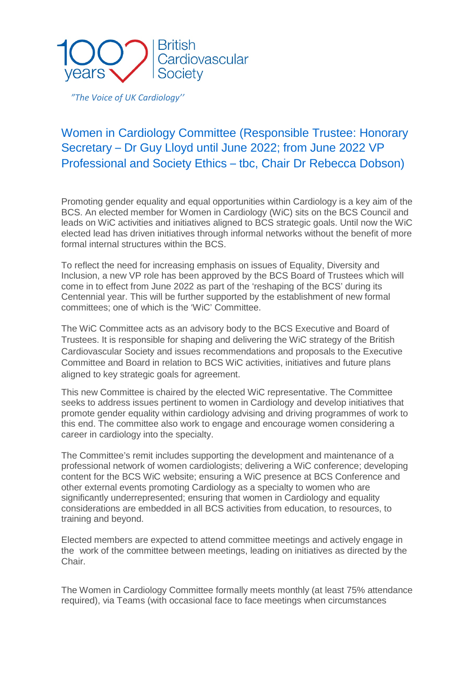

*"The Voice of UK Cardiology''*

## Women in Cardiology Committee (Responsible Trustee: Honorary Secretary – Dr Guy Lloyd until June 2022; from June 2022 VP Professional and Society Ethics – tbc, Chair Dr Rebecca Dobson)

Promoting gender equality and equal opportunities within Cardiology is a key aim of the BCS. An elected member for Women in Cardiology (WiC) sits on the BCS Council and leads on WiC activities and initiatives aligned to BCS strategic goals. Until now the WiC elected lead has driven initiatives through informal networks without the benefit of more formal internal structures within the BCS.

To reflect the need for increasing emphasis on issues of Equality, Diversity and Inclusion, a new VP role has been approved by the BCS Board of Trustees which will come in to effect from June 2022 as part of the 'reshaping of the BCS' during its Centennial year. This will be further supported by the establishment of new formal committees; one of which is the 'WiC' Committee.

The WiC Committee acts as an advisory body to the BCS Executive and Board of Trustees. It is responsible for shaping and delivering the WiC strategy of the British Cardiovascular Society and issues recommendations and proposals to the Executive Committee and Board in relation to BCS WiC activities, initiatives and future plans aligned to key strategic goals for agreement.

This new Committee is chaired by the elected WiC representative. The Committee seeks to address issues pertinent to women in Cardiology and develop initiatives that promote gender equality within cardiology advising and driving programmes of work to this end. The committee also work to engage and encourage women considering a career in cardiology into the specialty.

The Committee's remit includes supporting the development and maintenance of a professional network of women cardiologists; delivering a WiC conference; developing content for the BCS WiC website; ensuring a WiC presence at BCS Conference and other external events promoting Cardiology as a specialty to women who are significantly underrepresented; ensuring that women in Cardiology and equality considerations are embedded in all BCS activities from education, to resources, to training and beyond.

Elected members are expected to attend committee meetings and actively engage in the work of the committee between meetings, leading on initiatives as directed by the Chair.

The Women in Cardiology Committee formally meets monthly (at least 75% attendance required), via Teams (with occasional face to face meetings when circumstances